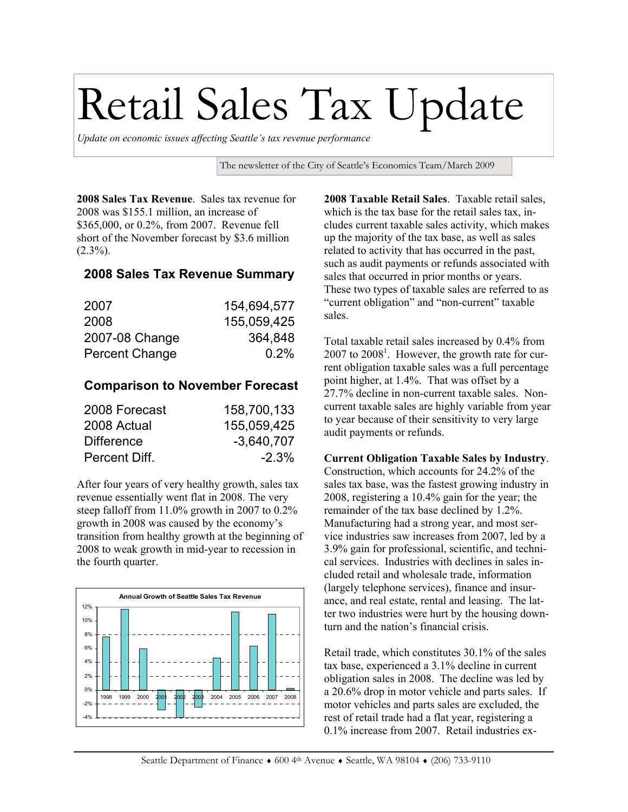## Retail Sales Tax Update

*Update on economic issues affecting Seattle's tax revenue performance* 

The newsletter of the City of Seattle's Economics Team/March 2009

**2008 Sales Tax Revenue**. Sales tax revenue for 2008 was \$155.1 million, an increase of \$365,000, or 0.2%, from 2007. Revenue fell short of the November forecast by \$3.6 million  $(2.3\%)$ .

## **2008 Sales Tax Revenue Summary**

| 2007           | 154,694,577 |
|----------------|-------------|
| 2008           | 155,059,425 |
| 2007-08 Change | 364,848     |
| Percent Change | $0.2\%$     |

## **Comparison to November Forecast**

| 2008 Forecast     | 158,700,133  |
|-------------------|--------------|
| 2008 Actual       | 155,059,425  |
| <b>Difference</b> | $-3.640.707$ |
| Percent Diff.     | $-2.3\%$     |

After four years of very healthy growth, sales tax revenue essentially went flat in 2008. The very steep falloff from 11.0% growth in 2007 to 0.2% growth in 2008 was caused by the economy's transition from healthy growth at the beginning of 2008 to weak growth in mid-year to recession in the fourth quarter.



**2008 Taxable Retail Sales**. Taxable retail sales, which is the tax base for the retail sales tax, includes current taxable sales activity, which makes up the majority of the tax base, as well as sales related to activity that has occurred in the past, such as audit payments or refunds associated with sales that occurred in prior months or years. These two types of taxable sales are referred to as "current obligation" and "non-current" taxable sales.

Total taxable retail sales increased by 0.4% from  $2007$  to  $2008<sup>1</sup>$ . However, the growth rate for current obligation taxable sales was a full percentage point higher, at 1.4%. That was offset by a 27.7% decline in non-current taxable sales. Noncurrent taxable sales are highly variable from year to year because of their sensitivity to very large audit payments or refunds.

## **Current Obligation Taxable Sales by Industry**.

Construction, which accounts for 24.2% of the sales tax base, was the fastest growing industry in 2008, registering a 10.4% gain for the year; the remainder of the tax base declined by 1.2%. Manufacturing had a strong year, and most service industries saw increases from 2007, led by a 3.9% gain for professional, scientific, and technical services. Industries with declines in sales included retail and wholesale trade, information (largely telephone services), finance and insurance, and real estate, rental and leasing. The latter two industries were hurt by the housing downturn and the nation's financial crisis.

Retail trade, which constitutes 30.1% of the sales tax base, experienced a 3.1% decline in current obligation sales in 2008. The decline was led by a 20.6% drop in motor vehicle and parts sales. If motor vehicles and parts sales are excluded, the rest of retail trade had a flat year, registering a 0.1% increase from 2007. Retail industries ex